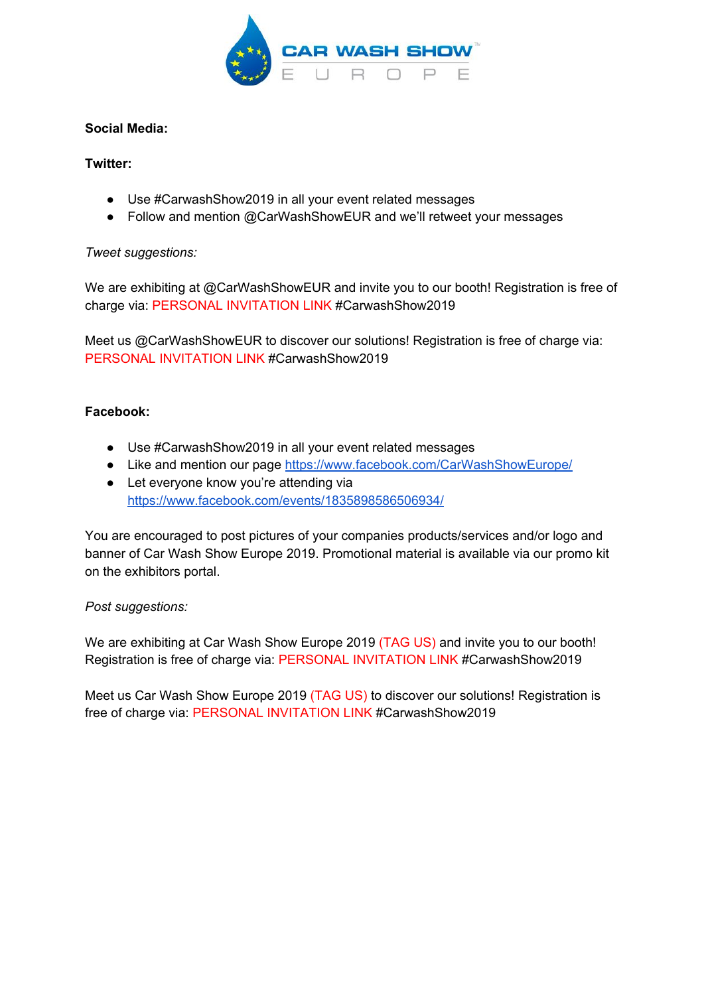

## **Social Media:**

## **Twitter:**

- Use #CarwashShow2019 in all your event related messages
- Follow and mention [@C](https://twitter.com/railtecheurope)arWashShowEUR and we'll retweet your messages

### *Tweet suggestions:*

We are exhibiting at @CarWashShowEUR and invite you to our booth! Registration is free of charge via: PERSONAL INVITATION LINK #CarwashShow2019

Meet us @CarWashShowEUR to discover our solutions! Registration is free of charge via: PERSONAL INVITATION LINK #CarwashShow2019

### **Facebook:**

- Use #CarwashShow2019 in all your event related messages
- Like and mention our page <https://www.facebook.com/CarWashShowEurope/>
- Let everyone know you're attending via <https://www.facebook.com/events/1835898586506934/>

You are encouraged to post pictures of your companies products/services and/or logo and banner of Car Wash Show Europe 2019. Promotional material is available via our promo kit on the exhibitors portal.

#### *Post suggestions:*

We are exhibiting at Car Wash Show Europe 2019 (TAG US) and invite you to our booth! Registration is free of charge via: PERSONAL INVITATION LINK #CarwashShow2019

Meet us Car Wash Show Europe 2019 (TAG US) to discover our solutions! Registration is free of charge via: PERSONAL INVITATION LINK #CarwashShow2019